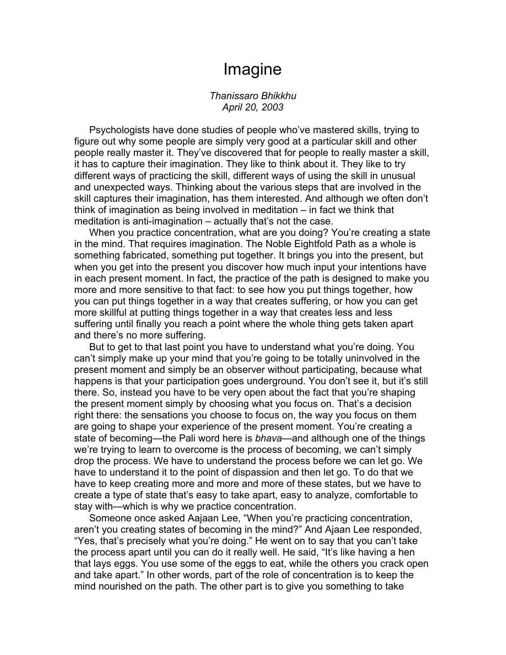## Imagine

*Thanissaro Bhikkhu April 20, 2003* 

Psychologists have done studies of people who've mastered skills, trying to figure out why some people are simply very good at a particular skill and other people really master it. They've discovered that for people to really master a skill, it has to capture their imagination. They like to think about it. They like to try different ways of practicing the skill, different ways of using the skill in unusual and unexpected ways. Thinking about the various steps that are involved in the skill captures their imagination, has them interested. And although we often don't think of imagination as being involved in meditation – in fact we think that meditation is anti-imagination – actually that's not the case.

When you practice concentration, what are you doing? You're creating a state in the mind. That requires imagination. The Noble Eightfold Path as a whole is something fabricated, something put together. It brings you into the present, but when you get into the present you discover how much input your intentions have in each present moment. In fact, the practice of the path is designed to make you more and more sensitive to that fact: to see how you put things together, how you can put things together in a way that creates suffering, or how you can get more skillful at putting things together in a way that creates less and less suffering until finally you reach a point where the whole thing gets taken apart and there's no more suffering.

But to get to that last point you have to understand what you're doing. You can't simply make up your mind that you're going to be totally uninvolved in the present moment and simply be an observer without participating, because what happens is that your participation goes underground. You don't see it, but it's still there. So, instead you have to be very open about the fact that you're shaping the present moment simply by choosing what you focus on. That's a decision right there: the sensations you choose to focus on, the way you focus on them are going to shape your experience of the present moment. You're creating a state of becoming—the Pali word here is *bhava*—and although one of the things we're trying to learn to overcome is the process of becoming, we can't simply drop the process. We have to understand the process before we can let go. We have to understand it to the point of dispassion and then let go. To do that we have to keep creating more and more and more of these states, but we have to create a type of state that's easy to take apart, easy to analyze, comfortable to stay with—which is why we practice concentration.

Someone once asked Aajaan Lee, "When you're practicing concentration, aren't you creating states of becoming in the mind?" And Ajaan Lee responded, "Yes, that's precisely what you're doing." He went on to say that you can't take the process apart until you can do it really well. He said, "It's like having a hen that lays eggs. You use some of the eggs to eat, while the others you crack open and take apart." In other words, part of the role of concentration is to keep the mind nourished on the path. The other part is to give you something to take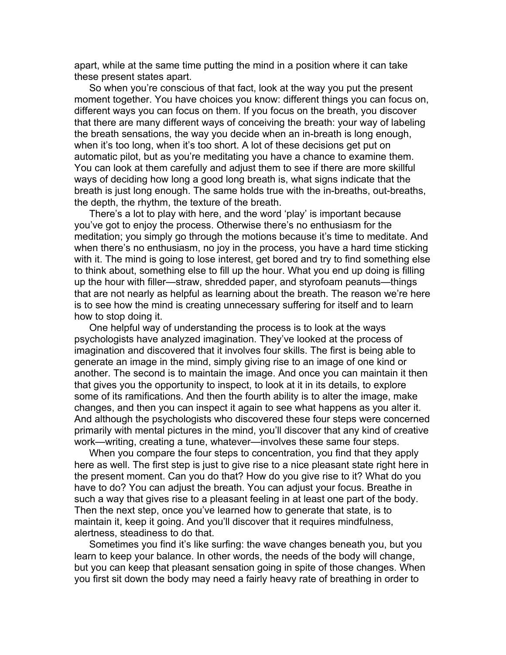apart, while at the same time putting the mind in a position where it can take these present states apart.

So when you're conscious of that fact, look at the way you put the present moment together. You have choices you know: different things you can focus on, different ways you can focus on them. If you focus on the breath, you discover that there are many different ways of conceiving the breath: your way of labeling the breath sensations, the way you decide when an in-breath is long enough, when it's too long, when it's too short. A lot of these decisions get put on automatic pilot, but as you're meditating you have a chance to examine them. You can look at them carefully and adjust them to see if there are more skillful ways of deciding how long a good long breath is, what signs indicate that the breath is just long enough. The same holds true with the in-breaths, out-breaths, the depth, the rhythm, the texture of the breath.

There's a lot to play with here, and the word 'play' is important because you've got to enjoy the process. Otherwise there's no enthusiasm for the meditation; you simply go through the motions because it's time to meditate. And when there's no enthusiasm, no joy in the process, you have a hard time sticking with it. The mind is going to lose interest, get bored and try to find something else to think about, something else to fill up the hour. What you end up doing is filling up the hour with filler—straw, shredded paper, and styrofoam peanuts—things that are not nearly as helpful as learning about the breath. The reason we're here is to see how the mind is creating unnecessary suffering for itself and to learn how to stop doing it.

One helpful way of understanding the process is to look at the ways psychologists have analyzed imagination. They've looked at the process of imagination and discovered that it involves four skills. The first is being able to generate an image in the mind, simply giving rise to an image of one kind or another. The second is to maintain the image. And once you can maintain it then that gives you the opportunity to inspect, to look at it in its details, to explore some of its ramifications. And then the fourth ability is to alter the image, make changes, and then you can inspect it again to see what happens as you alter it. And although the psychologists who discovered these four steps were concerned primarily with mental pictures in the mind, you'll discover that any kind of creative work—writing, creating a tune, whatever—involves these same four steps.

When you compare the four steps to concentration, you find that they apply here as well. The first step is just to give rise to a nice pleasant state right here in the present moment. Can you do that? How do you give rise to it? What do you have to do? You can adjust the breath. You can adjust your focus. Breathe in such a way that gives rise to a pleasant feeling in at least one part of the body. Then the next step, once you've learned how to generate that state, is to maintain it, keep it going. And you'll discover that it requires mindfulness, alertness, steadiness to do that.

Sometimes you find it's like surfing: the wave changes beneath you, but you learn to keep your balance. In other words, the needs of the body will change, but you can keep that pleasant sensation going in spite of those changes. When you first sit down the body may need a fairly heavy rate of breathing in order to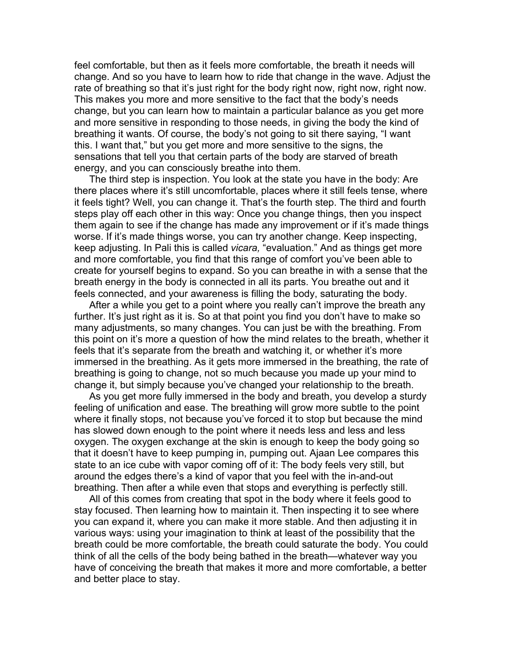feel comfortable, but then as it feels more comfortable, the breath it needs will change. And so you have to learn how to ride that change in the wave. Adjust the rate of breathing so that it's just right for the body right now, right now, right now. This makes you more and more sensitive to the fact that the body's needs change, but you can learn how to maintain a particular balance as you get more and more sensitive in responding to those needs, in giving the body the kind of breathing it wants. Of course, the body's not going to sit there saying, "I want this. I want that," but you get more and more sensitive to the signs, the sensations that tell you that certain parts of the body are starved of breath energy, and you can consciously breathe into them.

The third step is inspection. You look at the state you have in the body: Are there places where it's still uncomfortable, places where it still feels tense, where it feels tight? Well, you can change it. That's the fourth step. The third and fourth steps play off each other in this way: Once you change things, then you inspect them again to see if the change has made any improvement or if it's made things worse. If it's made things worse, you can try another change. Keep inspecting, keep adjusting. In Pali this is called *vicara,* "evaluation." And as things get more and more comfortable, you find that this range of comfort you've been able to create for yourself begins to expand. So you can breathe in with a sense that the breath energy in the body is connected in all its parts. You breathe out and it feels connected, and your awareness is filling the body, saturating the body.

After a while you get to a point where you really can't improve the breath any further. It's just right as it is. So at that point you find you don't have to make so many adjustments, so many changes. You can just be with the breathing. From this point on it's more a question of how the mind relates to the breath, whether it feels that it's separate from the breath and watching it, or whether it's more immersed in the breathing. As it gets more immersed in the breathing, the rate of breathing is going to change, not so much because you made up your mind to change it, but simply because you've changed your relationship to the breath.

As you get more fully immersed in the body and breath, you develop a sturdy feeling of unification and ease. The breathing will grow more subtle to the point where it finally stops, not because you've forced it to stop but because the mind has slowed down enough to the point where it needs less and less and less oxygen. The oxygen exchange at the skin is enough to keep the body going so that it doesn't have to keep pumping in, pumping out. Ajaan Lee compares this state to an ice cube with vapor coming off of it: The body feels very still, but around the edges there's a kind of vapor that you feel with the in-and-out breathing. Then after a while even that stops and everything is perfectly still.

All of this comes from creating that spot in the body where it feels good to stay focused. Then learning how to maintain it. Then inspecting it to see where you can expand it, where you can make it more stable. And then adjusting it in various ways: using your imagination to think at least of the possibility that the breath could be more comfortable, the breath could saturate the body. You could think of all the cells of the body being bathed in the breath—whatever way you have of conceiving the breath that makes it more and more comfortable, a better and better place to stay.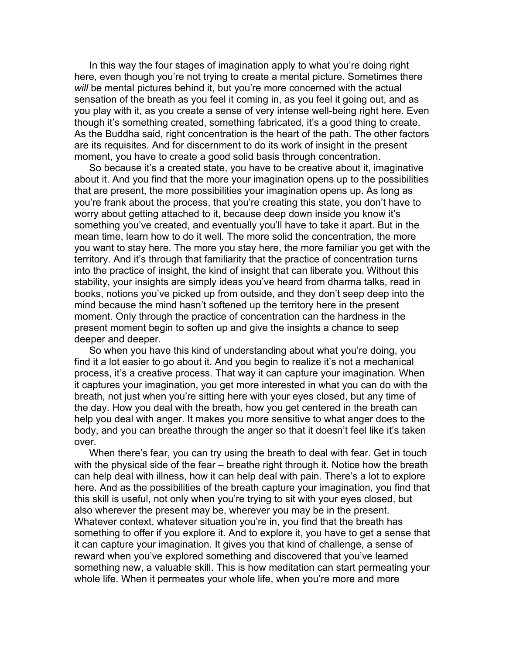In this way the four stages of imagination apply to what you're doing right here, even though you're not trying to create a mental picture. Sometimes there *will* be mental pictures behind it, but you're more concerned with the actual sensation of the breath as you feel it coming in, as you feel it going out, and as you play with it, as you create a sense of very intense well-being right here. Even though it's something created, something fabricated, it's a good thing to create. As the Buddha said, right concentration is the heart of the path. The other factors are its requisites. And for discernment to do its work of insight in the present moment, you have to create a good solid basis through concentration.

So because it's a created state, you have to be creative about it, imaginative about it. And you find that the more your imagination opens up to the possibilities that are present, the more possibilities your imagination opens up. As long as you're frank about the process, that you're creating this state, you don't have to worry about getting attached to it, because deep down inside you know it's something you've created, and eventually you'll have to take it apart. But in the mean time, learn how to do it well. The more solid the concentration, the more you want to stay here. The more you stay here, the more familiar you get with the territory. And it's through that familiarity that the practice of concentration turns into the practice of insight, the kind of insight that can liberate you. Without this stability, your insights are simply ideas you've heard from dharma talks, read in books, notions you've picked up from outside, and they don't seep deep into the mind because the mind hasn't softened up the territory here in the present moment. Only through the practice of concentration can the hardness in the present moment begin to soften up and give the insights a chance to seep deeper and deeper.

So when you have this kind of understanding about what you're doing, you find it a lot easier to go about it. And you begin to realize it's not a mechanical process, it's a creative process. That way it can capture your imagination. When it captures your imagination, you get more interested in what you can do with the breath, not just when you're sitting here with your eyes closed, but any time of the day. How you deal with the breath, how you get centered in the breath can help you deal with anger. It makes you more sensitive to what anger does to the body, and you can breathe through the anger so that it doesn't feel like it's taken over.

When there's fear, you can try using the breath to deal with fear. Get in touch with the physical side of the fear – breathe right through it. Notice how the breath can help deal with illness, how it can help deal with pain. There's a lot to explore here. And as the possibilities of the breath capture your imagination, you find that this skill is useful, not only when you're trying to sit with your eyes closed, but also wherever the present may be, wherever you may be in the present. Whatever context, whatever situation you're in, you find that the breath has something to offer if you explore it. And to explore it, you have to get a sense that it can capture your imagination. It gives you that kind of challenge, a sense of reward when you've explored something and discovered that you've learned something new, a valuable skill. This is how meditation can start permeating your whole life. When it permeates your whole life, when you're more and more